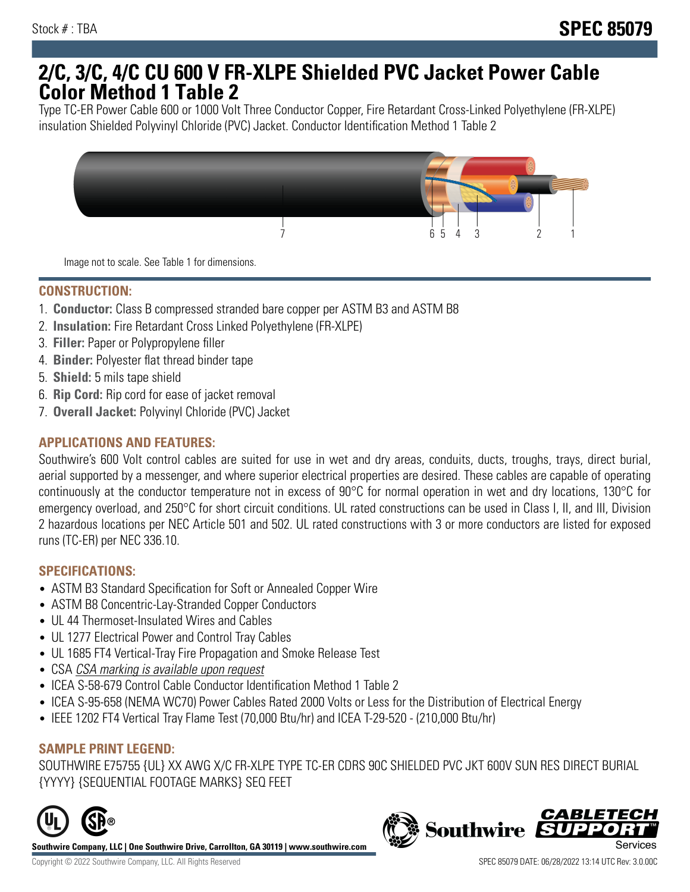# **2/C, 3/C, 4/C CU 600 V FR-XLPE Shielded PVC Jacket Power Cable Color Method 1 Table 2**

Type TC-ER Power Cable 600 or 1000 Volt Three Conductor Copper, Fire Retardant Cross-Linked Polyethylene (FR-XLPE) insulation Shielded Polyvinyl Chloride (PVC) Jacket. Conductor Identification Method 1 Table 2



Image not to scale. See Table 1 for dimensions.

## **CONSTRUCTION:**

- 1. **Conductor:** Class B compressed stranded bare copper per ASTM B3 and ASTM B8
- 2. **Insulation:** Fire Retardant Cross Linked Polyethylene (FR-XLPE)
- 3. **Filler:** Paper or Polypropylene filler
- 4. **Binder:** Polyester flat thread binder tape
- 5. **Shield:** 5 mils tape shield
- 6. **Rip Cord:** Rip cord for ease of jacket removal
- 7. **Overall Jacket:** Polyvinyl Chloride (PVC) Jacket

### **APPLICATIONS AND FEATURES:**

Southwire's 600 Volt control cables are suited for use in wet and dry areas, conduits, ducts, troughs, trays, direct burial, aerial supported by a messenger, and where superior electrical properties are desired. These cables are capable of operating continuously at the conductor temperature not in excess of 90°C for normal operation in wet and dry locations, 130°C for emergency overload, and 250°C for short circuit conditions. UL rated constructions can be used in Class I, II, and III, Division 2 hazardous locations per NEC Article 501 and 502. UL rated constructions with 3 or more conductors are listed for exposed runs (TC-ER) per NEC 336.10.

#### **SPECIFICATIONS:**

- ASTM B3 Standard Specification for Soft or Annealed Copper Wire
- ASTM B8 Concentric-Lay-Stranded Copper Conductors
- UL 44 Thermoset-Insulated Wires and Cables
- UL 1277 Electrical Power and Control Tray Cables
- UL 1685 FT4 Vertical-Tray Fire Propagation and Smoke Release Test
- CSA CSA marking is available upon request
- ICEA S-58-679 Control Cable Conductor Identification Method 1 Table 2
- ICEA S-95-658 (NEMA WC70) Power Cables Rated 2000 Volts or Less for the Distribution of Electrical Energy
- IEEE 1202 FT4 Vertical Tray Flame Test (70,000 Btu/hr) and ICEA T-29-520 (210,000 Btu/hr)

#### **SAMPLE PRINT LEGEND:**

SOUTHWIRE E75755 {UL} XX AWG X/C FR-XLPE TYPE TC-ER CDRS 90C SHIELDED PVC JKT 600V SUN RES DIRECT BURIAL {YYYY} {SEQUENTIAL FOOTAGE MARKS} SEQ FEET



**Southwire Company, LLC | One Southwire Drive, Carrollton, GA 30119 | www.southwire.com**